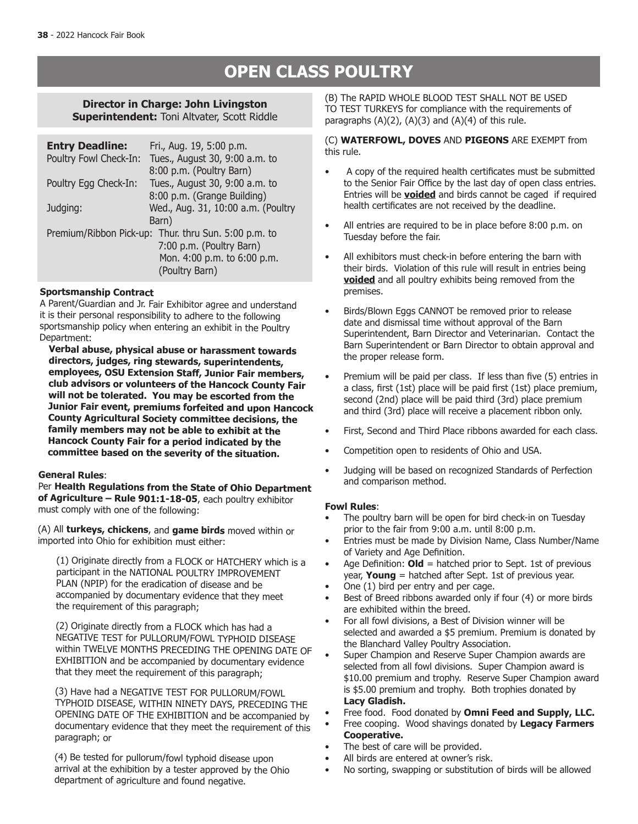# **OPEN CLASS POULTRY**

## **Director in Charge: John Livingston Superintendent:** Toni Altvater, Scott Riddle

| <b>Entry Deadline:</b>                               | Fri., Aug. 19, 5:00 p.m.           |  |  |  |
|------------------------------------------------------|------------------------------------|--|--|--|
| Poultry Fowl Check-In:                               | Tues., August 30, 9:00 a.m. to     |  |  |  |
|                                                      | 8:00 p.m. (Poultry Barn)           |  |  |  |
| Poultry Egg Check-In:                                | Tues., August 30, 9:00 a.m. to     |  |  |  |
|                                                      | 8:00 p.m. (Grange Building)        |  |  |  |
| Judging:                                             | Wed., Aug. 31, 10:00 a.m. (Poultry |  |  |  |
| Barn)                                                |                                    |  |  |  |
| Premium/Ribbon Pick-up: Thur. thru Sun. 5:00 p.m. to |                                    |  |  |  |
|                                                      | 7:00 p.m. (Poultry Barn)           |  |  |  |
|                                                      | Mon. 4:00 p.m. to 6:00 p.m.        |  |  |  |
|                                                      | (Poultry Barn)                     |  |  |  |

## **Sportsmanship Contract**

A Parent/Guardian and Jr. Fair Exhibitor agree and understand it is their personal responsibility to adhere to the following sportsmanship policy when entering an exhibit in the Poultry Department:

**Verbal abuse, physical abuse or harassment towards directors, judges, ring stewards, superintendents, employees, OSU Extension Staff, Junior Fair members, club advisors or volunteers of the Hancock County Fair will not be tolerated. You may be escorted from the Junior Fair event, premiums forfeited and upon Hancock County Agricultural Society committee decisions, the family members may not be able to exhibit at the Hancock County Fair for a period indicated by the committee based on the severity of the situation.**

## **General Rules**:

Per **Health Regulations from the State of Ohio Department of Agriculture – Rule 901:1-18-05**, each poultry exhibitor must comply with one of the following:

(A) All **turkeys, chickens**, and **game birds** moved within or imported into Ohio for exhibition must either:

(1) Originate directly from a FLOCK or HATCHERY which is a participant in the NATIONAL POULTRY IMPROVEMENT PLAN (NPIP) for the eradication of disease and be accompanied by documentary evidence that they meet the requirement of this paragraph;

(2) Originate directly from a FLOCK which has had a NEGATIVE TEST for PULLORUM/FOWL TYPHOID DISEASE within TWELVE MONTHS PRECEDING THE OPENING DATE OF EXHIBITION and be accompanied by documentary evidence that they meet the requirement of this paragraph;

(3) Have had a NEGATIVE TEST FOR PULLORUM/FOWL TYPHOID DISEASE, WITHIN NINETY DAYS, PRECEDING THE OPENING DATE OF THE EXHIBITION and be accompanied by documentary evidence that they meet the requirement of this paragraph; or

(4) Be tested for pullorum/fowl typhoid disease upon arrival at the exhibition by a tester approved by the Ohio department of agriculture and found negative.

(B) The RAPID WHOLE BLOOD TEST SHALL NOT BE USED TO TEST TURKEYS for compliance with the requirements of paragraphs  $(A)(2)$ ,  $(A)(3)$  and  $(A)(4)$  of this rule.

### (C) **WATERFOWL, DOVES** AND **PIGEONS** ARE EXEMPT from this rule.

- • A copy of the required health certificates must be submitted to the Senior Fair Office by the last day of open class entries. Entries will be **voided** and birds cannot be caged if required health certificates are not received by the deadline.
- All entries are required to be in place before 8:00 p.m. on Tuesday before the fair.
- All exhibitors must check-in before entering the barn with their birds. Violation of this rule will result in entries being **voided** and all poultry exhibits being removed from the premises.
- Birds/Blown Eggs CANNOT be removed prior to release date and dismissal time without approval of the Barn Superintendent, Barn Director and Veterinarian. Contact the Barn Superintendent or Barn Director to obtain approval and the proper release form.
- Premium will be paid per class. If less than five (5) entries in a class, first (1st) place will be paid first (1st) place premium, second (2nd) place will be paid third (3rd) place premium and third (3rd) place will receive a placement ribbon only.
- First, Second and Third Place ribbons awarded for each class.
- Competition open to residents of Ohio and USA.
- Judging will be based on recognized Standards of Perfection and comparison method.

## **Fowl Rules**:

- The poultry barn will be open for bird check-in on Tuesday prior to the fair from 9:00 a.m. until 8:00 p.m.
- Entries must be made by Division Name, Class Number/Name of Variety and Age Definition.
- Age Definition:  $Old =$  hatched prior to Sept. 1st of previous year, **Young** = hatched after Sept. 1st of previous year.
- One  $(1)$  bird per entry and per cage.
- Best of Breed ribbons awarded only if four (4) or more birds are exhibited within the breed.
- For all fowl divisions, a Best of Division winner will be selected and awarded a \$5 premium. Premium is donated by the Blanchard Valley Poultry Association.
- Super Champion and Reserve Super Champion awards are selected from all fowl divisions. Super Champion award is \$10.00 premium and trophy. Reserve Super Champion award is \$5.00 premium and trophy. Both trophies donated by **Lacy Gladish.**
- Free food. Food donated by Omni Feed and Supply, LLC.
- Free cooping. Wood shavings donated by Legacy Farmers **Cooperative.**
- The best of care will be provided.
- All birds are entered at owner's risk.
- No sorting, swapping or substitution of birds will be allowed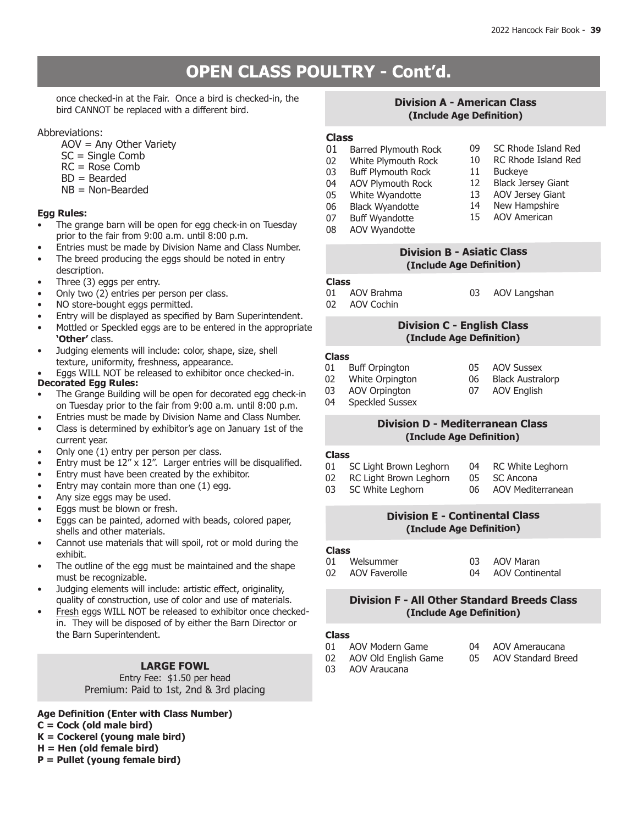# **OPEN CLASS POULTRY - Cont'd.**

once checked-in at the Fair. Once a bird is checked-in, the bird CANNOT be replaced with a different bird.

## Abbreviations:

- AOV = Any Other Variety
- $SC =$  Single Comb
- RC = Rose Comb
- BD = Bearded
- NB = Non-Bearded

## **Egg Rules:**

- The grange barn will be open for egg check-in on Tuesday prior to the fair from 9:00 a.m. until 8:00 p.m.
- Entries must be made by Division Name and Class Number.
- The breed producing the eggs should be noted in entry description.
- Three (3) eggs per entry.
- Only two (2) entries per person per class.
- NO store-bought eggs permitted.
- Entry will be displayed as specified by Barn Superintendent.
- Mottled or Speckled eggs are to be entered in the appropriate **'Other'** class.
- Judging elements will include: color, shape, size, shell texture, uniformity, freshness, appearance.
- **Decorated Egg Rules:** Eggs WILL NOT be released to exhibitor once checked-in.
- The Grange Building will be open for decorated egg check-in on Tuesday prior to the fair from 9:00 a.m. until 8:00 p.m.
- Entries must be made by Division Name and Class Number.
- • Class is determined by exhibitor's age on January 1st of the current year.
- Only one (1) entry per person per class.
- Entry must be  $12''$  x  $12''$ . Larger entries will be disqualified.
- Entry must have been created by the exhibitor.
- Entry may contain more than one  $(1)$  egg.
- Any size eggs may be used.
- Eggs must be blown or fresh.
- Eggs can be painted, adorned with beads, colored paper, shells and other materials.
- Cannot use materials that will spoil, rot or mold during the exhibit.
- The outline of the egg must be maintained and the shape must be recognizable.
- Judging elements will include: artistic effect, originality, quality of construction, use of color and use of materials.
- Fresh eggs WILL NOT be released to exhibitor once checkedin. They will be disposed of by either the Barn Director or the Barn Superintendent.

## **LARGE FOWL**

## Entry Fee: \$1.50 per head Premium: Paid to 1st, 2nd & 3rd placing

## **Age Definition (Enter with Class Number)**

- **C = Cock (old male bird)**
- **K = Cockerel (young male bird)**
- **H = Hen (old female bird)**
- **P = Pullet (young female bird)**

## **Division A - American Class (Include Age Definition)**

# **Class**

- 01 Barred Plymouth Rock<br>02 White Plymouth Rock
- 02 White Plymouth Rock<br>03 Buff Plymouth Rock
- **Buff Plymouth Rock**
- 04 AOV Plymouth Rock<br>05 White Wyandotte
- 05 White Wyandotte<br>06 Black Wyandotte
- 06 Black Wyandotte<br>07 Buff Wyandotte
- 13 AOV Jersey Giant<br>14 New Hampshire 14 New Hampshire<br>15 AOV American

09 SC Rhode Island Red<br>10 RC Rhode Island Red 10 RC Rhode Island Red<br>11 Buckeye

12 Black Jersey Giant<br>13 AOV Jersey Giant

- **Buff Wyandotte**
- AOV American

11 Buckeye<br>12 Black Jer

- 08 AOV Wyandotte
- 

05 AOV Sussex<br>06 Black Austra 06 Black Australorp<br>07 AOV English **AOV English** 

## **Division B - Asiatic Class (Include Age Definition)**

#### **Class**

- 01 AOV Brahma
- 02 AOV Cochin
- 03 AOV Langshan

## **Division C - English Class (Include Age Definition)**

#### **Class**

- 
- 01 Buff Orpington<br>02 White Orpington
- 02 White Orpington<br>03 AOV Orpington
- 03 AOV Orpington<br>04 Speckled Sussex Speckled Sussex
- 

## **Division D - Mediterranean Class (Include Age Definition)**

#### **Class**

- 01 SC Light Brown Leghorn 02 RC Light Brown Leghorn 04 RC White Leghorn 05 SC Ancona
- 03 SC White Leghorn 06 AOV Mediterranean

## **Division E - Continental Class (Include Age Definition)**

# **Class**

Welsummer 02 AOV Faverolle 03 AOV Maran<br>04 AOV Contine AOV Continental

## **Division F - All Other Standard Breeds Class (Include Age Definition)**

# Class<br>01

- 01 AOV Modern Game<br>02 AOV Old English Gar
- 05 AOV Standard Breed
- 
- 04 AOV Ameraucana
- 
- 
- 02 AOV Old English Game
- 03 AOV Araucana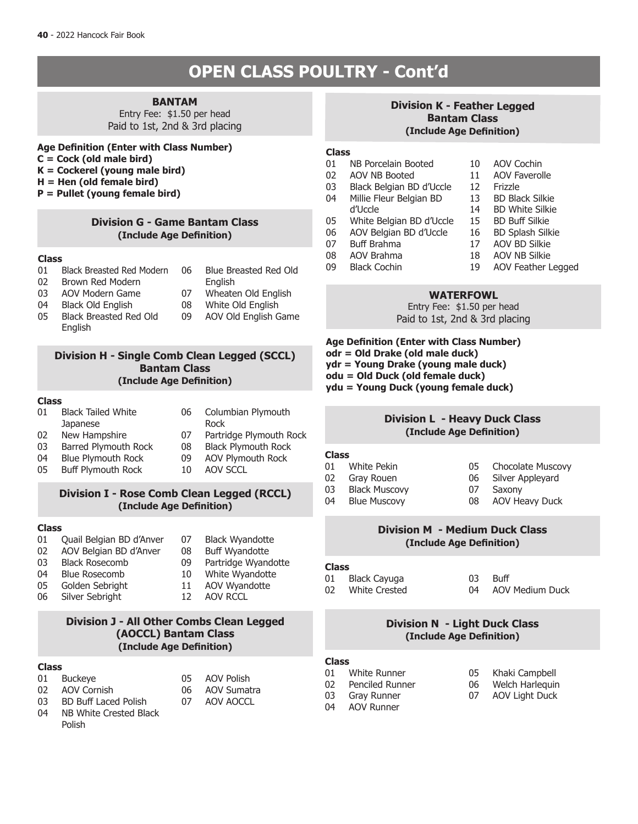# **OPEN CLASS POULTRY - Cont'd**

# **BANTAM**

Entry Fee: \$1.50 per head Paid to 1st, 2nd & 3rd placing

## **Age Definition (Enter with Class Number)**

- **C = Cock (old male bird)**
- **K = Cockerel (young male bird)**
- **H = Hen (old female bird)**
- **P = Pullet (young female bird)**

### **Division G - Game Bantam Class (Include Age Definition)**

#### **Class**

- 01 Black Breasted Red Modern 06 Blue Breasted Red Old
- 02 Brown Red Modern
- **English**
- 03 AOV Modern Game
- 07 Wheaten Old English
- 04 Black Old English
- 05 Black Breasted Red Old English
- 08 White Old English 09 AOV Old English Game
- **Division H Single Comb Clean Legged (SCCL) Bantam Class**

## **(Include Age Definition)**

#### **Class**

- 01 Black Tailed White **Japanese**
- 06 Columbian Plymouth
- 02 New Hampshire 03 Barred Plymouth Rock
- Rock
- 07 Partridge Plymouth Rock<br>08 Black Plymouth Rock
- 08 Black Plymouth Rock<br>09 AOV Plymouth Rock
- 04 Blue Plymouth Rock<br>05 Buff Plymouth Rock **Buff Plymouth Rock**
- 09 AOV Plymouth Rock<br>10 AOV SCCL AOV SCCL

## **Division I - Rose Comb Clean Legged (RCCL) (Include Age Definition)**

#### **Class**

- 01 Quail Belgian BD d'Anver
- 02 AOV Belgian BD d'Anver
- 03 Black Rosecomb
- 04 Blue Rosecomb
- 05 Golden Sebright<br>06 Silver Sebright
- Silver Sebright
- 08 Buff Wyandotte<br>09 Partridge Wyand Partridge Wyandotte 10 White Wyandotte 11 AOV Wyandotte<br>12 AOV RCCL

07 Black Wyandotte

AOV RCCL

## **Division J - All Other Combs Clean Legged (AOCCL) Bantam Class (Include Age Definition)**

#### **Class**

- 01 Buckeye 02 AOV Cornish
- 05 AOV Polish
- 06 AOV Sumatra 07 AOV AOCCL
- 03 BD Buff Laced Polish
- 04 NB White Crested Black Polish

## **Division K - Feather Legged Bantam Class (Include Age Definition)**

# **Class**

- NB Porcelain Booted 02 AOV NB Booted
- 
- 03 Black Belgian BD d'Uccle<br>04 Millie Fleur Belgian BD Millie Fleur Belgian BD
- d'Uccle
- 
- 05 White Belgian BD d'Uccle<br>06 AOV Belgian BD d'Uccle 06 AOV Belgian BD d'Uccle
- 07 Buff Brahma
- 
- 08 AOV Brahma<br>09 Black Cochin
- 14 BD White Silkie

10 AOV Cochin 11 AOV Faverolle

12 Frizzle<br>13 BD Blag

- 15 BD Buff Silkie 16 BD Splash Silkie
- 
- 
- 
- Black Cochin
- 17 AOV BD Silkie 18 AOV NB Silkie
- 
- 19 AOV Feather Legged

BD Black Silkie

## **WATERFOWL**

Entry Fee: \$1.50 per head Paid to 1st, 2nd & 3rd placing

**Age Definition (Enter with Class Number) odr = Old Drake (old male duck) ydr = Young Drake (young male duck) odu = Old Duck (old female duck) ydu = Young Duck (young female duck)**

## **Division L - Heavy Duck Class (Include Age Definition)**

#### **Class**

- 01 White Pekin
- 02 Gray Rouen
- 03 Black Muscovy<br>04 Blue Muscovy
- **Blue Muscovy**
- 05 Chocolate Muscovy 06 Silver Appleyard
	-
- 07 Saxony<br>08 AOV He
	- **AOV Heavy Duck**

## **Division M - Medium Duck Class (Include Age Definition)**

# **Class**

01 Black Cayuga<br>02 Mbite Crested White Crested  $03$  Buff 04 AOV Medium Duck

## **Division N - Light Duck Class (Include Age Definition)**

#### **Class**

- 01 White Runner<br>02 Penciled Runn
- Penciled Runner
- 
- AOV Runner
- 05 Khaki Campbell<br>06 Welch Harleguir Welch Harlequin
- 07 AOV Light Duck
- 

- -

- 03 Gray Runner<br>04 AOV Runner
-